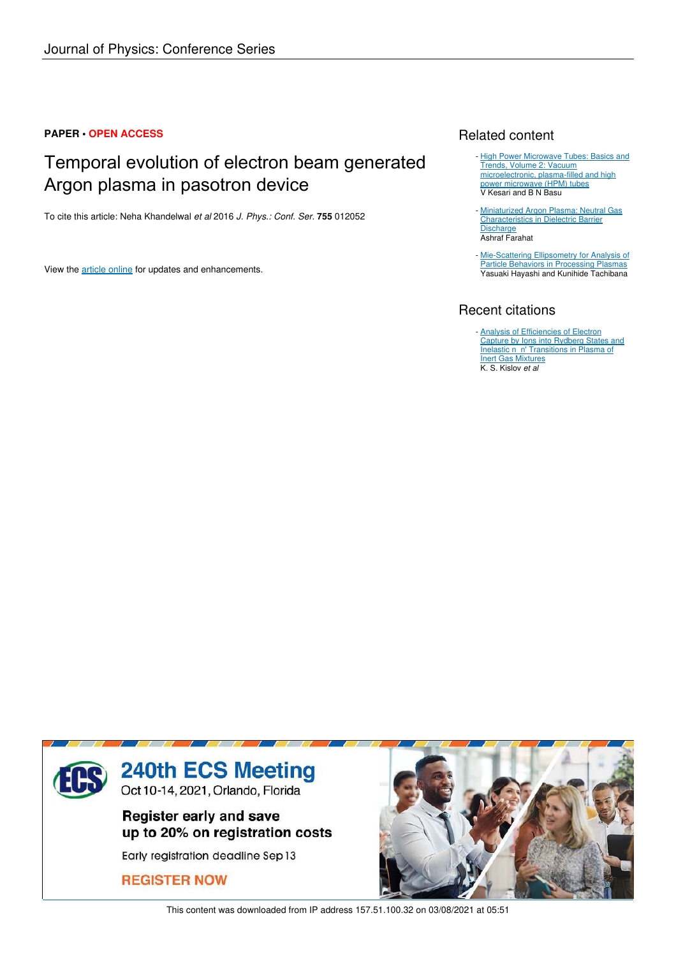## **PAPER • OPEN ACCESS**

# Temporal evolution of electron beam generated Argon plasma in pasotron device

To cite this article: Neha Khandelwal *et al* 2016 *J. Phys.: Conf. Ser.* **755** 012052

View the article online for updates and enhancements.

# Related content

- High Power Microwave Tubes: Basics and Trends, Volume 2: Vacuum microelectronic, plasma-filled and high power microwave (HPM) tubes V Kesari and B N Basu
- Miniaturized Argon Plasma: Neutral Gas Characteristics in Dielectric Barrier **Discharge** Ashraf Farahat -
- Mie-Scattering Ellipsometry for Analysis of Particle Behaviors in Processing Plasmas Yasuaki Hayashi and Kunihide Tachibana

# Recent citations

- **Analysis of Efficiencies of Electron** Capture by Ions into Rydberg States and Inelastic n n' Transitions in Plasma of **Inert Gas Mixtures** K. S. Kislov *et al*



This content was downloaded from IP address 157.51.100.32 on 03/08/2021 at 05:51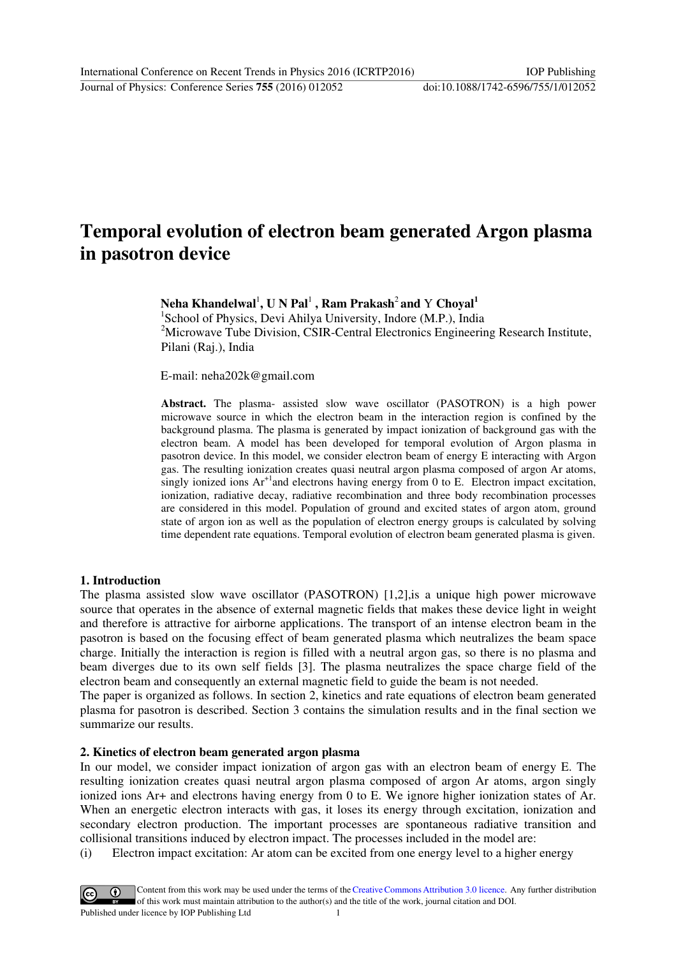# **Temporal evolution of electron beam generated Argon plasma in pasotron device**

 $N$ eha Khandelwal $^{1}$ , U N Pal $^{1}$  , Ram Prakash $^{2}$  and  $Y$  Choyal $^{1}$ 

<sup>1</sup>School of Physics, Devi Ahilya University, Indore (M.P.), India <sup>2</sup>Microwave Tube Division, CSIR-Central Electronics Engineering Research Institute, Pilani (Raj.), India

E-mail: [neha202k@gmail.com](mailto:neha202k@gmail.com) 

**Abstract.** The plasma- assisted slow wave oscillator (PASOTRON) is a high power microwave source in which the electron beam in the interaction region is confined by the background plasma. The plasma is generated by impact ionization of background gas with the electron beam. A model has been developed for temporal evolution of Argon plasma in pasotron device. In this model, we consider electron beam of energy E interacting with Argon gas. The resulting ionization creates quasi neutral argon plasma composed of argon Ar atoms, singly ionized ions  $Ar^{+1}$ and electrons having energy from 0 to E. Electron impact excitation, ionization, radiative decay, radiative recombination and three body recombination processes are considered in this model. Population of ground and excited states of argon atom, ground state of argon ion as well as the population of electron energy groups is calculated by solving time dependent rate equations. Temporal evolution of electron beam generated plasma is given.

#### **1. Introduction**

The plasma assisted slow wave oscillator (PASOTRON) [1,2],is a unique high power microwave source that operates in the absence of external magnetic fields that makes these device light in weight and therefore is attractive for airborne applications. The transport of an intense electron beam in the pasotron is based on the focusing effect of beam generated plasma which neutralizes the beam space charge. Initially the interaction is region is filled with a neutral argon gas, so there is no plasma and beam diverges due to its own self fields [3]. The plasma neutralizes the space charge field of the electron beam and consequently an external magnetic field to guide the beam is not needed.

The paper is organized as follows. In section 2, kinetics and rate equations of electron beam generated plasma for pasotron is described. Section 3 contains the simulation results and in the final section we summarize our results.

#### **2. Kinetics of electron beam generated argon plasma**

In our model, we consider impact ionization of argon gas with an electron beam of energy E. The resulting ionization creates quasi neutral argon plasma composed of argon Ar atoms, argon singly ionized ions Ar+ and electrons having energy from 0 to E. We ignore higher ionization states of Ar. When an energetic electron interacts with gas, it loses its energy through excitation, ionization and secondary electron production. The important processes are spontaneous radiative transition and collisional transitions induced by electron impact. The processes included in the model are:

(i) Electron impact excitation: Ar atom can be excited from one energy level to a higher energy

Content from this work may be used under the terms of theCreative Commons Attribution 3.0 licence. Any further distribution  $(cc)$ of this work must maintain attribution to the author(s) and the title of the work, journal citation and DOI. Published under licence by IOP Publishing Ltd 1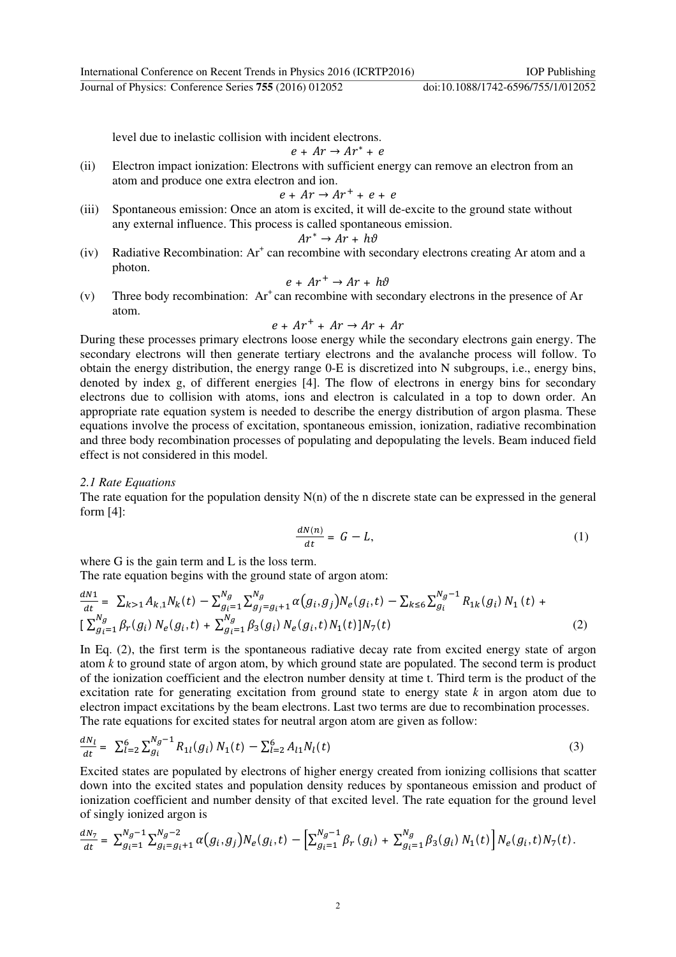Journal of Physics: Conference Series **755** (2016) 012052 doi:10.1088/1742-6596/755/1/012052

level due to inelastic collision with incident electrons.

 $e + Ar \rightarrow Ar^* + e$ 

(ii) Electron impact ionization: Electrons with sufficient energy can remove an electron from an atom and produce one extra electron and ion.

$$
e + Ar \rightarrow Ar^{+} + e + e
$$

(iii) Spontaneous emission: Once an atom is excited, it will de-excite to the ground state without any external influence. This process is called spontaneous emission.

$$
Ar^* \to Ar + h\vartheta
$$

 $(iv)$  Radiative Recombination: Ar<sup>+</sup> can recombine with secondary electrons creating Ar atom and a photon.

$$
e + Ar^+ \rightarrow Ar + h\vartheta
$$

(v) Three body recombination:  $Ar^+$ can recombine with secondary electrons in the presence of Ar atom.

$$
e + Ar^+ + Ar \rightarrow Ar + Ar
$$

During these processes primary electrons loose energy while the secondary electrons gain energy. The secondary electrons will then generate tertiary electrons and the avalanche process will follow. To obtain the energy distribution, the energy range 0-E is discretized into N subgroups, i.e., energy bins, denoted by index g, of different energies [4]. The flow of electrons in energy bins for secondary electrons due to collision with atoms, ions and electron is calculated in a top to down order. An appropriate rate equation system is needed to describe the energy distribution of argon plasma. These equations involve the process of excitation, spontaneous emission, ionization, radiative recombination and three body recombination processes of populating and depopulating the levels. Beam induced field effect is not considered in this model.

#### *2.1 Rate Equations*

The rate equation for the population density  $N(n)$  of the n discrete state can be expressed in the general form [4]:

$$
\frac{dN(n)}{dt} = G - L,\tag{1}
$$

where G is the gain term and L is the loss term.

The rate equation begins with the ground state of argon atom:

$$
\frac{dN_1}{dt} = \sum_{k>1} A_{k,1} N_k(t) - \sum_{g_i=1}^{N_g} \sum_{g_j=g_i+1}^{N_g} \alpha(g_i, g_j) N_e(g_i, t) - \sum_{k\leq 6} \sum_{g_i}^{N_g-1} R_{1k}(g_i) N_1(t) + \left[ \sum_{g_i=1}^{N_g} \beta_r(g_i) N_e(g_i, t) + \sum_{g_i=1}^{N_g} \beta_3(g_i) N_e(g_i, t) N_1(t) N_7(t) \right]
$$
\n(2)

In Eq. (2), the first term is the spontaneous radiative decay rate from excited energy state of argon atom *k* to ground state of argon atom, by which ground state are populated. The second term is product of the ionization coefficient and the electron number density at time t. Third term is the product of the excitation rate for generating excitation from ground state to energy state *k* in argon atom due to electron impact excitations by the beam electrons. Last two terms are due to recombination processes. The rate equations for excited states for neutral argon atom are given as follow:

$$
\frac{dN_l}{dt} = \sum_{l=2}^{6} \sum_{g_i}^{N_g - 1} R_{1l}(g_i) N_1(t) - \sum_{l=2}^{6} A_{l1} N_l(t) \tag{3}
$$

Excited states are populated by electrons of higher energy created from ionizing collisions that scatter down into the excited states and population density reduces by spontaneous emission and product of ionization coefficient and number density of that excited level. The rate equation for the ground level of singly ionized argon is

$$
\frac{dN_7}{dt} = \sum_{g_i=1}^{N_g-1} \sum_{g_i=g_i+1}^{N_g-2} \alpha\big(g_i,g_j\big) N_e(g_i,t) \ -\ \Bigl[ \sum_{g_i=1}^{N_g-1} \beta_r\left(g_i\right) \ + \ \sum_{g_i=1}^{N_g} \beta_3(g_i) \ N_1(t) \Bigr] \ N_e(g_i,t) \ N_7(t) \, .
$$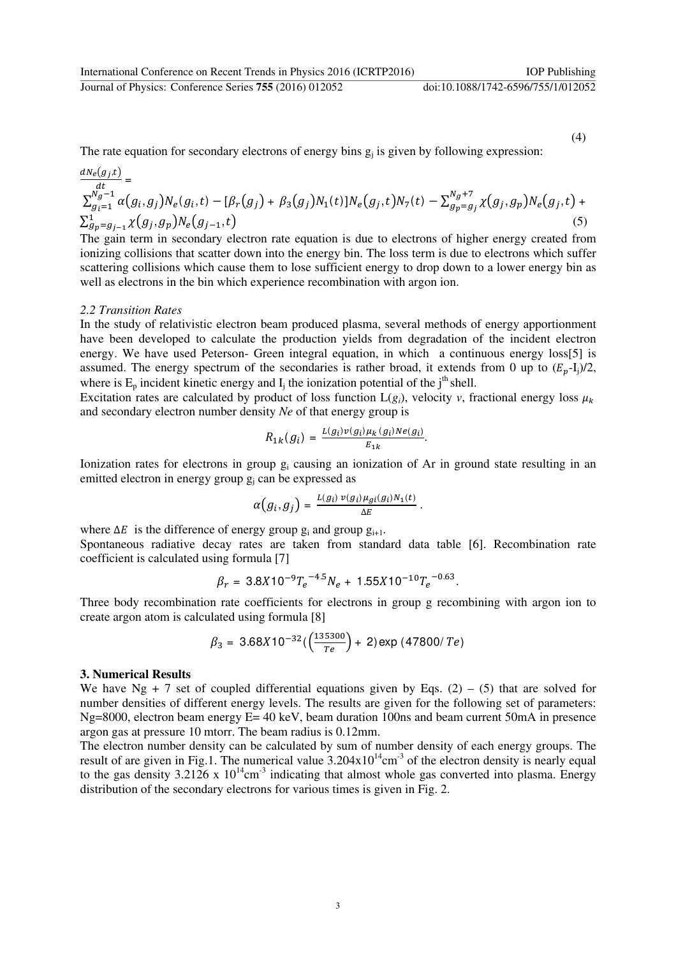Journal of Physics: Conference Series **755** (2016) 012052 doi:10.1088/1742-6596/755/1/012052

(4)

The rate equation for secondary electrons of energy bins  $g_j$  is given by following expression:  $\sim$ 

$$
\frac{dN_e(g_j,t)}{dt} = \sum_{g_j=1}^{M_g-1} \alpha(g_i,g_j)N_e(g_i,t) - [\beta_r(g_j) + \beta_3(g_j)N_1(t)]N_e(g_j,t)N_7(t) - \sum_{g_p=g_j}^{N_g+7} \chi(g_j,g_p)N_e(g_j,t) + \sum_{g_p=g_{j-1}}^{1} \chi(g_j,g_p)N_e(g_{j-1},t)
$$
\n(5)

The gain term in secondary electron rate equation is due to electrons of higher energy created from ionizing collisions that scatter down into the energy bin. The loss term is due to electrons which suffer scattering collisions which cause them to lose sufficient energy to drop down to a lower energy bin as well as electrons in the bin which experience recombination with argon ion.

### *2.2 Transition Rates*

In the study of relativistic electron beam produced plasma, several methods of energy apportionment have been developed to calculate the production yields from degradation of the incident electron energy. We have used Peterson- Green integral equation, in which a continuous energy loss[5] is assumed. The energy spectrum of the secondaries is rather broad, it extends from 0 up to  $(E_n-I_i)/2$ , where is  $E_p$  incident kinetic energy and  $I_j$  the ionization potential of the j<sup>th</sup> shell.

Excitation rates are calculated by product of loss function  $L(g_i)$ , velocity *v*, fractional energy loss  $\mu_k$ and secondary electron number density *Ne* of that energy group is

$$
R_{1k}(g_i) = \frac{L(g_i)v(g_i)\mu_k(g_i)Ne(g_i)}{E_{1k}}.
$$

Ionization rates for electrons in group  $g_i$  causing an ionization of Ar in ground state resulting in an emitted electron in energy group  $g_j$  can be expressed as

$$
\alpha\big(g_i,g_j\big)=\tfrac{L(g_i)\,v(g_i)\mu_{gi}(g_i)N_1(t)}{\Delta E}\,.
$$

where  $\Delta E$  is the difference of energy group  $g_i$  and group  $g_{i+1}$ . Spontaneous radiative decay rates are taken from standard data table [6]. Recombination rate coefficient is calculated using formula [7]

$$
\beta_r = 3.8X10^{-9}T_e^{-4.5}N_e + 1.55X10^{-10}T_e^{-0.63}.
$$

Three body recombination rate coefficients for electrons in group g recombining with argon ion to create argon atom is calculated using formula [8]

$$
\beta_3 = 3.68X10^{-32} \left( \frac{(135300)}{Te} \right) + 2 \text{ exp } (47800/\text{Te})
$$

#### **3. Numerical Results**

We have Ng + 7 set of coupled differential equations given by Eqs.  $(2) - (5)$  that are solved for number densities of different energy levels. The results are given for the following set of parameters: Ng=8000, electron beam energy E= 40 keV, beam duration 100ns and beam current 50mA in presence argon gas at pressure 10 mtorr. The beam radius is 0.12mm.

The electron number density can be calculated by sum of number density of each energy groups. The result of are given in Fig.1. The numerical value  $3.204 \times 10^{14} \text{cm}^{-3}$  of the electron density is nearly equal to the gas density  $3.2126 \times 10^{14}$ cm<sup>-3</sup> indicating that almost whole gas converted into plasma. Energy distribution of the secondary electrons for various times is given in Fig. 2.